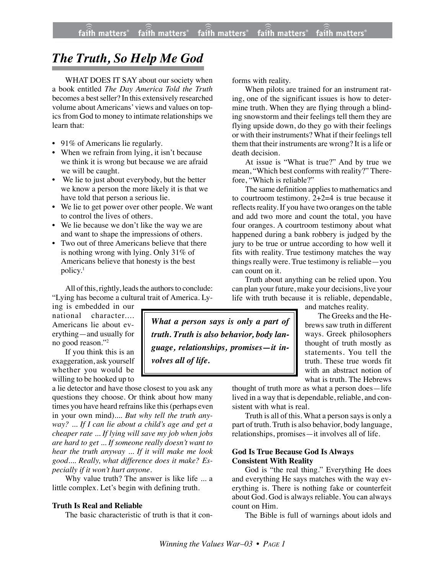# *The Truth, So Help Me God*

WHAT DOES IT SAY about our society when a book entitled *The Day America Told the Truth* becomes a best seller? In this extensively researched volume about Americans' views and values on topics from God to money to intimate relationships we learn that:

- 91% of Americans lie regularly.
- When we refrain from lying, it isn't because we think it is wrong but because we are afraid we will be caught.
- We lie to just about everybody, but the better we know a person the more likely it is that we have told that person a serious lie.
- We lie to get power over other people. We want to control the lives of others.
- We lie because we don't like the way we are and want to shape the impressions of others.
- Two out of three Americans believe that there is nothing wrong with lying. Only 31% of Americans believe that honesty is the best policy.1

All of this, rightly, leads the authors to conclude: "Lying has become a cultural trait of America. Ly-

ing is embedded in our national character.... Americans lie about everything—and usually for no good reason."2

If you think this is an exaggeration, ask yourself whether you would be willing to be hooked up to

a lie detector and have those closest to you ask any questions they choose. Or think about how many times you have heard refrains like this (perhaps even in your own mind).... *But why tell the truth anyway? ... If I can lie about a child's age and get a cheaper rate ... If lying will save my job when jobs are hard to get ... If someone really doesn't want to hear the truth anyway ... If it will make me look good.... Really, what difference does it make? Especially if it won't hurt anyone.*

Why value truth? The answer is like life ... a little complex. Let's begin with defining truth.

#### **Truth Is Real and Reliable**

The basic characteristic of truth is that it con-

forms with reality.

When pilots are trained for an instrument rating, one of the significant issues is how to determine truth. When they are flying through a blinding snowstorm and their feelings tell them they are flying upside down, do they go with their feelings or with their instruments? What if their feelings tell them that their instruments are wrong? It is a life or death decision.

At issue is "What is true?" And by true we mean, "Which best conforms with reality?" Therefore, "Which is reliable?"

The same definition applies to mathematics and to courtroom testimony. 2+2=4 is true because it reflects reality. If you have two oranges on the table and add two more and count the total, you have four oranges. A courtroom testimony about what happened during a bank robbery is judged by the jury to be true or untrue according to how well it fits with reality. True testimony matches the way things really were. True testimony is reliable—you can count on it.

Truth about anything can be relied upon. You can plan your future, make your decisions, live your life with truth because it is reliable, dependable,

and matches reality.

The Greeks and the Hebrews saw truth in different ways. Greek philosophers thought of truth mostly as statements. You tell the truth. These true words fit with an abstract notion of what is truth. The Hebrews

thought of truth more as what a person does—life lived in a way that is dependable, reliable, and consistent with what is real.

Truth is all of this. What a person says is only a part of truth. Truth is also behavior, body language, relationships, promises—it involves all of life.

#### **God Is True Because God Is Always Consistent With Reality**

God is "the real thing." Everything He does and everything He says matches with the way everything is. There is nothing fake or counterfeit about God. God is always reliable. You can always count on Him.

The Bible is full of warnings about idols and

*What a person says is only a part of truth. Truth is also behavior, body language, relationships, promises—it involves all of life.*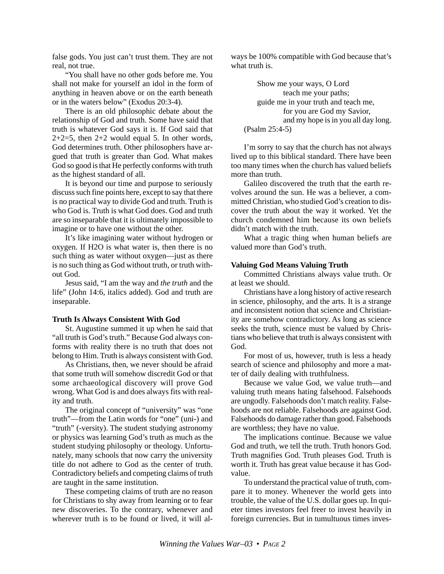false gods. You just can't trust them. They are not real, not true.

"You shall have no other gods before me. You shall not make for yourself an idol in the form of anything in heaven above or on the earth beneath or in the waters below" (Exodus 20:3-4).

There is an old philosophic debate about the relationship of God and truth. Some have said that truth is whatever God says it is. If God said that  $2+2=5$ , then  $2+2$  would equal 5. In other words, God determines truth. Other philosophers have argued that truth is greater than God. What makes God so good is that He perfectly conforms with truth as the highest standard of all.

It is beyond our time and purpose to seriously discuss such fine points here, except to say that there is no practical way to divide God and truth. Truth is who God is. Truth is what God does. God and truth are so inseparable that it is ultimately impossible to imagine or to have one without the other.

It's like imagining water without hydrogen or oxygen. If H2O is what water is, then there is no such thing as water without oxygen—just as there is no such thing as God without truth, or truth without God.

Jesus said, "I am the way and *the truth* and the life" (John 14:6, italics added). God and truth are inseparable.

## **Truth Is Always Consistent With God**

St. Augustine summed it up when he said that "all truth is God's truth." Because God always conforms with reality there is no truth that does not belong to Him. Truth is always consistent with God.

As Christians, then, we never should be afraid that some truth will somehow discredit God or that some archaeological discovery will prove God wrong. What God is and does always fits with reality and truth.

The original concept of "university" was "one truth"—from the Latin words for "one" (uni-) and "truth" (-versity). The student studying astronomy or physics was learning God's truth as much as the student studying philosophy or theology. Unfortunately, many schools that now carry the university title do not adhere to God as the center of truth. Contradictory beliefs and competing claims of truth are taught in the same institution.

These competing claims of truth are no reason for Christians to shy away from learning or to fear new discoveries. To the contrary, whenever and wherever truth is to be found or lived, it will always be 100% compatible with God because that's what truth is.

Show me your ways, O Lord teach me your paths; guide me in your truth and teach me, for you are God my Savior, and my hope is in you all day long. (Psalm 25:4-5)

I'm sorry to say that the church has not always lived up to this biblical standard. There have been too many times when the church has valued beliefs more than truth.

Galileo discovered the truth that the earth revolves around the sun. He was a believer, a committed Christian, who studied God's creation to discover the truth about the way it worked. Yet the church condemned him because its own beliefs didn't match with the truth.

What a tragic thing when human beliefs are valued more than God's truth.

# **Valuing God Means Valuing Truth**

Committed Christians always value truth. Or at least we should.

Christians have a long history of active research in science, philosophy, and the arts. It is a strange and inconsistent notion that science and Christianity are somehow contradictory. As long as science seeks the truth, science must be valued by Christians who believe that truth is always consistent with God.

For most of us, however, truth is less a heady search of science and philosophy and more a matter of daily dealing with truthfulness.

Because we value God, we value truth—and valuing truth means hating falsehood. Falsehoods are ungodly. Falsehoods don't match reality. Falsehoods are not reliable. Falsehoods are against God. Falsehoods do damage rather than good. Falsehoods are worthless; they have no value.

The implications continue. Because we value God and truth, we tell the truth. Truth honors God. Truth magnifies God. Truth pleases God. Truth is worth it. Truth has great value because it has Godvalue.

To understand the practical value of truth, compare it to money. Whenever the world gets into trouble, the value of the U.S. dollar goes up. In quieter times investors feel freer to invest heavily in foreign currencies. But in tumultuous times inves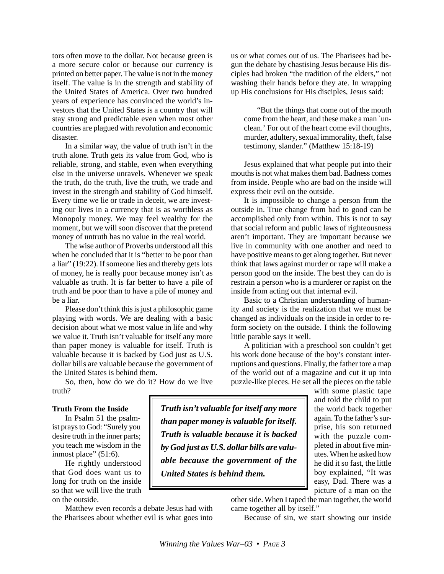tors often move to the dollar. Not because green is a more secure color or because our currency is printed on better paper. The value is not in the money itself. The value is in the strength and stability of the United States of America. Over two hundred years of experience has convinced the world's investors that the United States is a country that will stay strong and predictable even when most other countries are plagued with revolution and economic disaster.

In a similar way, the value of truth isn't in the truth alone. Truth gets its value from God, who is reliable, strong, and stable, even when everything else in the universe unravels. Whenever we speak the truth, do the truth, live the truth, we trade and invest in the strength and stability of God himself. Every time we lie or trade in deceit, we are investing our lives in a currency that is as worthless as Monopoly money. We may feel wealthy for the moment, but we will soon discover that the pretend money of untruth has no value in the real world.

The wise author of Proverbs understood all this when he concluded that it is "better to be poor than a liar" (19:22). If someone lies and thereby gets lots of money, he is really poor because money isn't as valuable as truth. It is far better to have a pile of truth and be poor than to have a pile of money and be a liar.

Please don't think this is just a philosophic game playing with words. We are dealing with a basic decision about what we most value in life and why we value it. Truth isn't valuable for itself any more than paper money is valuable for itself. Truth is valuable because it is backed by God just as U.S. dollar bills are valuable because the government of the United States is behind them.

So, then, how do we do it? How do we live truth?

**Truth From the Inside**

In Psalm 51 the psalmist prays to God: "Surely you desire truth in the inner parts; you teach me wisdom in the inmost place" (51:6).

He rightly understood that God does want us to long for truth on the inside so that we will live the truth on the outside.

Matthew even records a debate Jesus had with the Pharisees about whether evil is what goes into

*Truth isn't valuable for itself any more than paper money is valuable for itself. Truth is valuable because it is backed by God just as U.S. dollar bills are valuable because the government of the United States is behind them.*

with some plastic tape and told the child to put the world back together again. To the father's surprise, his son returned

with the puzzle completed in about five minutes. When he asked how he did it so fast, the little boy explained, "It was easy, Dad. There was a picture of a man on the

other side. When I taped the man together, the world came together all by itself."

Because of sin, we start showing our inside

us or what comes out of us. The Pharisees had begun the debate by chastising Jesus because His disciples had broken "the tradition of the elders," not washing their hands before they ate. In wrapping up His conclusions for His disciples, Jesus said:

"But the things that come out of the mouth come from the heart, and these make a man `unclean.' For out of the heart come evil thoughts, murder, adultery, sexual immorality, theft, false testimony, slander." (Matthew 15:18-19)

Jesus explained that what people put into their mouths is not what makes them bad. Badness comes from inside. People who are bad on the inside will express their evil on the outside.

It is impossible to change a person from the outside in. True change from bad to good can be accomplished only from within. This is not to say that social reform and public laws of righteousness aren't important. They are important because we live in community with one another and need to have positive means to get along together. But never think that laws against murder or rape will make a person good on the inside. The best they can do is restrain a person who is a murderer or rapist on the inside from acting out that internal evil.

Basic to a Christian understanding of humanity and society is the realization that we must be changed as individuals on the inside in order to reform society on the outside. I think the following little parable says it well.

A politician with a preschool son couldn't get his work done because of the boy's constant interruptions and questions. Finally, the father tore a map of the world out of a magazine and cut it up into puzzle-like pieces. He set all the pieces on the table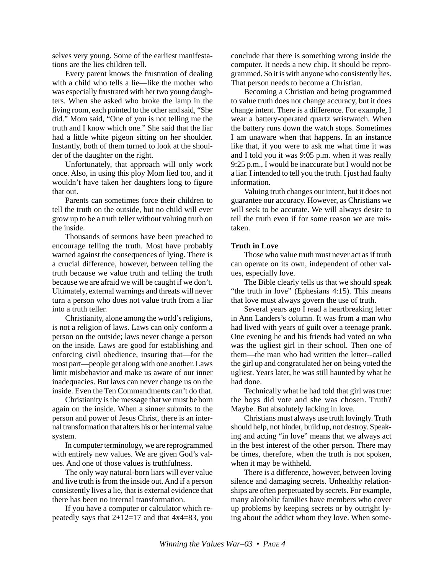selves very young. Some of the earliest manifestations are the lies children tell.

Every parent knows the frustration of dealing with a child who tells a lie—like the mother who was especially frustrated with her two young daughters. When she asked who broke the lamp in the living room, each pointed to the other and said, "She did." Mom said, "One of you is not telling me the truth and I know which one." She said that the liar had a little white pigeon sitting on her shoulder. Instantly, both of them turned to look at the shoulder of the daughter on the right.

Unfortunately, that approach will only work once. Also, in using this ploy Mom lied too, and it wouldn't have taken her daughters long to figure that out.

Parents can sometimes force their children to tell the truth on the outside, but no child will ever grow up to be a truth teller without valuing truth on the inside.

Thousands of sermons have been preached to encourage telling the truth. Most have probably warned against the consequences of lying. There is a crucial difference, however, between telling the truth because we value truth and telling the truth because we are afraid we will be caught if we don't. Ultimately, external warnings and threats will never turn a person who does not value truth from a liar into a truth teller.

Christianity, alone among the world's religions, is not a religion of laws. Laws can only conform a person on the outside; laws never change a person on the inside. Laws are good for establishing and enforcing civil obedience, insuring that—for the most part—people get along with one another. Laws limit misbehavior and make us aware of our inner inadequacies. But laws can never change us on the inside. Even the Ten Commandments can't do that.

Christianity is the message that we must be born again on the inside. When a sinner submits to the person and power of Jesus Christ, there is an internal transformation that alters his or her internal value system.

In computer terminology, we are reprogrammed with entirely new values. We are given God's values. And one of those values is truthfulness.

The only way natural-born liars will ever value and live truth is from the inside out. And if a person consistently lives a lie, that is external evidence that there has been no internal transformation.

If you have a computer or calculator which repeatedly says that  $2+12=17$  and that  $4x4=83$ , you conclude that there is something wrong inside the computer. It needs a new chip. It should be reprogrammed. So it is with anyone who consistently lies. That person needs to become a Christian.

Becoming a Christian and being programmed to value truth does not change accuracy, but it does change intent. There is a difference. For example, I wear a battery-operated quartz wristwatch. When the battery runs down the watch stops. Sometimes I am unaware when that happens. In an instance like that, if you were to ask me what time it was and I told you it was 9:05 p.m. when it was really 9:25 p.m., I would be inaccurate but I would not be a liar. I intended to tell you the truth. I just had faulty information.

Valuing truth changes our intent, but it does not guarantee our accuracy. However, as Christians we will seek to be accurate. We will always desire to tell the truth even if for some reason we are mistaken.

# **Truth in Love**

Those who value truth must never act as if truth can operate on its own, independent of other values, especially love.

The Bible clearly tells us that we should speak "the truth in love" (Ephesians 4:15). This means that love must always govern the use of truth.

Several years ago I read a heartbreaking letter in Ann Landers's column. It was from a man who had lived with years of guilt over a teenage prank. One evening he and his friends had voted on who was the ugliest girl in their school. Then one of them—the man who had written the letter--called the girl up and congratulated her on being voted the ugliest. Years later, he was still haunted by what he had done.

Technically what he had told that girl was true: the boys did vote and she was chosen. Truth? Maybe. But absolutely lacking in love.

Christians must always use truth lovingly. Truth should help, not hinder, build up, not destroy. Speaking and acting "in love" means that we always act in the best interest of the other person. There may be times, therefore, when the truth is not spoken, when it may be withheld.

There is a difference, however, between loving silence and damaging secrets. Unhealthy relationships are often perpetuated by secrets. For example, many alcoholic families have members who cover up problems by keeping secrets or by outright lying about the addict whom they love. When some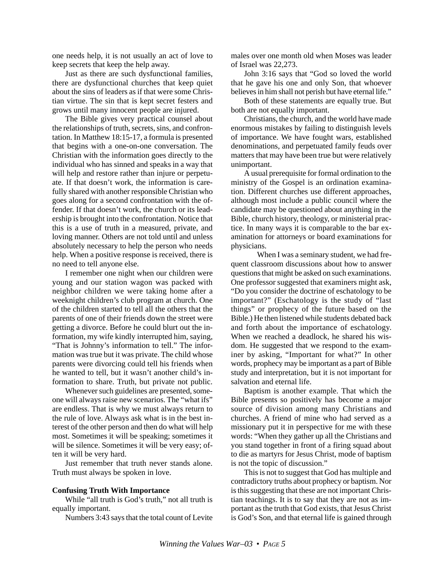one needs help, it is not usually an act of love to keep secrets that keep the help away.

Just as there are such dysfunctional families, there are dysfunctional churches that keep quiet about the sins of leaders as if that were some Christian virtue. The sin that is kept secret festers and grows until many innocent people are injured.

The Bible gives very practical counsel about the relationships of truth, secrets, sins, and confrontation. In Matthew 18:15-17, a formula is presented that begins with a one-on-one conversation. The Christian with the information goes directly to the individual who has sinned and speaks in a way that will help and restore rather than injure or perpetuate. If that doesn't work, the information is carefully shared with another responsible Christian who goes along for a second confrontation with the offender. If that doesn't work, the church or its leadership is brought into the confrontation. Notice that this is a use of truth in a measured, private, and loving manner. Others are not told until and unless absolutely necessary to help the person who needs help. When a positive response is received, there is no need to tell anyone else.

I remember one night when our children were young and our station wagon was packed with neighbor children we were taking home after a weeknight children's club program at church. One of the children started to tell all the others that the parents of one of their friends down the street were getting a divorce. Before he could blurt out the information, my wife kindly interrupted him, saying, "That is Johnny's information to tell." The information was true but it was private. The child whose parents were divorcing could tell his friends when he wanted to tell, but it wasn't another child's information to share. Truth, but private not public.

Whenever such guidelines are presented, someone will always raise new scenarios. The "what ifs" are endless. That is why we must always return to the rule of love. Always ask what is in the best interest of the other person and then do what will help most. Sometimes it will be speaking; sometimes it will be silence. Sometimes it will be very easy; often it will be very hard.

Just remember that truth never stands alone. Truth must always be spoken in love.

#### **Confusing Truth With Importance**

While "all truth is God's truth," not all truth is equally important.

Numbers 3:43 says that the total count of Levite

males over one month old when Moses was leader of Israel was 22,273.

John 3:16 says that "God so loved the world that he gave his one and only Son, that whoever believes in him shall not perish but have eternal life."

Both of these statements are equally true. But both are not equally important.

Christians, the church, and the world have made enormous mistakes by failing to distinguish levels of importance. We have fought wars, established denominations, and perpetuated family feuds over matters that may have been true but were relatively unimportant.

A usual prerequisite for formal ordination to the ministry of the Gospel is an ordination examination. Different churches use different approaches, although most include a public council where the candidate may be questioned about anything in the Bible, church history, theology, or ministerial practice. In many ways it is comparable to the bar examination for attorneys or board examinations for physicians.

When I was a seminary student, we had frequent classroom discussions about how to answer questions that might be asked on such examinations. One professor suggested that examiners might ask, "Do you consider the doctrine of eschatology to be important?" (Eschatology is the study of "last things" or prophecy of the future based on the Bible.) He then listened while students debated back and forth about the importance of eschatology. When we reached a deadlock, he shared his wisdom. He suggested that we respond to the examiner by asking, "Important for what?" In other words, prophecy may be important as a part of Bible study and interpretation, but it is not important for salvation and eternal life.

Baptism is another example. That which the Bible presents so positively has become a major source of division among many Christians and churches. A friend of mine who had served as a missionary put it in perspective for me with these words: "When they gather up all the Christians and you stand together in front of a firing squad about to die as martyrs for Jesus Christ, mode of baptism is not the topic of discussion."

This is not to suggest that God has multiple and contradictory truths about prophecy or baptism. Nor is this suggesting that these are not important Christian teachings. It is to say that they are not as important as the truth that God exists, that Jesus Christ is God's Son, and that eternal life is gained through